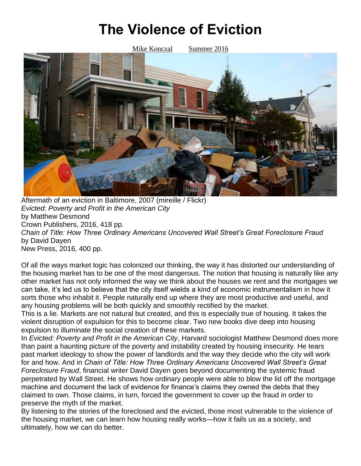## **The Violence of Eviction**



Aftermath of an eviction in Baltimore, 2007 (mireille / Flickr) *Evicted: Poverty and Profit in the American City* by Matthew Desmond Crown Publishers, 2016, 418 pp. *Chain of Title: How Three Ordinary Americans Uncovered Wall Street's Great Foreclosure Fraud* by David Dayen New Press, 2016, 400 pp.

Of all the ways market logic has colonized our thinking, the way it has distorted our understanding of the housing market has to be one of the most dangerous. The notion that housing is naturally like any other market has not only informed the way we think about the houses we rent and the mortgages we can take, it's led us to believe that the city itself wields a kind of economic instrumentalism in how it sorts those who inhabit it. People naturally end up where they are most productive and useful, and any housing problems will be both quickly and smoothly rectified by the market.

This is a lie. Markets are not natural but created, and this is especially true of housing. It takes the violent disruption of expulsion for this to become clear. Two new books dive deep into housing expulsion to illuminate the social creation of these markets.

In *Evicted: Poverty and Profit in the American City*, Harvard sociologist Matthew Desmond does more than paint a haunting picture of the poverty and instability created by housing insecurity. He tears past market ideology to show the power of landlords and the way they decide who the city will work for and how. And in *Chain of Title: How Three Ordinary Americans Uncovered Wall Street's Great Foreclosure Fraud*, financial writer David Dayen goes beyond documenting the systemic fraud perpetrated by Wall Street. He shows how ordinary people were able to blow the lid off the mortgage machine and document the lack of evidence for finance's claims they owned the debts that they claimed to own. Those claims, in turn, forced the government to cover up the fraud in order to preserve the myth of the market.

By listening to the stories of the foreclosed and the evicted, those most vulnerable to the violence of the housing market, we can learn how housing really works—how it fails us as a society, and ultimately, how we can do better.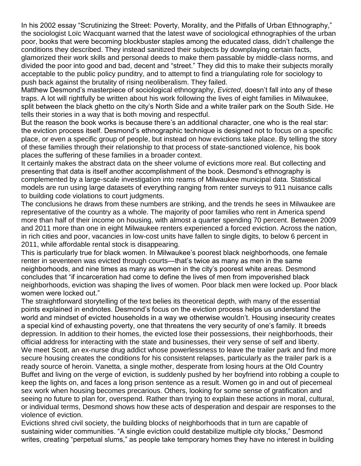In his 2002 essay "Scrutinizing the Street: Poverty, Morality, and the Pitfalls of Urban Ethnography," the sociologist Loïc Wacquant warned that the latest wave of sociological ethnographies of the urban poor, books that were becoming blockbuster staples among the educated class, didn't challenge the conditions they described. They instead sanitized their subjects by downplaying certain facts, glamorized their work skills and personal deeds to make them passable by middle-class norms, and divided the poor into good and bad, decent and "street." They did this to make their subjects morally acceptable to the public policy punditry, and to attempt to find a triangulating role for sociology to push back against the brutality of rising neoliberalism. They failed.

Matthew Desmond's masterpiece of sociological ethnography, *Evicted*, doesn't fall into any of these traps. A lot will rightfully be written about his work following the lives of eight families in Milwaukee, split between the black ghetto on the city's North Side and a white trailer park on the South Side. He tells their stories in a way that is both moving and respectful.

But the reason the book works is because there's an additional character, one who is the real star: the eviction process itself. Desmond's ethnographic technique is designed not to focus on a specific place, or even a specific group of people, but instead on how evictions take place. By telling the story of these families through their relationship to that process of state-sanctioned violence, his book places the suffering of these families in a broader context.

It certainly makes the abstract data on the sheer volume of evictions more real. But collecting and presenting that data is itself another accomplishment of the book. Desmond's ethnography is complemented by a large-scale investigation into reams of Milwaukee municipal data. Statistical models are run using large datasets of everything ranging from renter surveys to 911 nuisance calls to building code violations to court judgments.

The conclusions he draws from these numbers are striking, and the trends he sees in Milwaukee are representative of the country as a whole. The majority of poor families who rent in America spend more than half of their income on housing, with almost a quarter spending 70 percent. Between 2009 and 2011 more than one in eight Milwaukee renters experienced a forced eviction. Across the nation, in rich cities and poor, vacancies in low-cost units have fallen to single digits, to below 6 percent in 2011, while affordable rental stock is disappearing.

This is particularly true for black women. In Milwaukee's poorest black neighborhoods, one female renter in seventeen was evicted through courts—that's twice as many as men in the same neighborhoods, and nine times as many as women in the city's poorest white areas. Desmond concludes that "if incarceration had come to define the lives of men from impoverished black neighborhoods, eviction was shaping the lives of women. Poor black men were locked up. Poor black women were locked out."

The straightforward storytelling of the text belies its theoretical depth, with many of the essential points explained in endnotes. Desmond's focus on the eviction process helps us understand the world and mindset of evicted households in a way we otherwise wouldn't. Housing insecurity creates a special kind of exhausting poverty, one that threatens the very security of one's family. It breeds depression. In addition to their homes, the evicted lose their possessions, their neighborhoods, their official address for interacting with the state and businesses, their very sense of self and liberty. We meet Scott, an ex-nurse drug addict whose powerlessness to leave the trailer park and find more secure housing creates the conditions for his consistent relapses, particularly as the trailer park is a ready source of heroin. Vanetta, a single mother, desperate from losing hours at the Old Country Buffet and living on the verge of eviction, is suddenly pushed by her boyfriend into robbing a couple to keep the lights on, and faces a long prison sentence as a result. Women go in and out of piecemeal sex work when housing becomes precarious. Others, looking for some sense of gratification and seeing no future to plan for, overspend. Rather than trying to explain these actions in moral, cultural, or individual terms, Desmond shows how these acts of desperation and despair are responses to the violence of eviction.

Evictions shred civil society, the building blocks of neighborhoods that in turn are capable of sustaining wider communities. "A single eviction could destabilize multiple city blocks," Desmond writes, creating "perpetual slums," as people take temporary homes they have no interest in building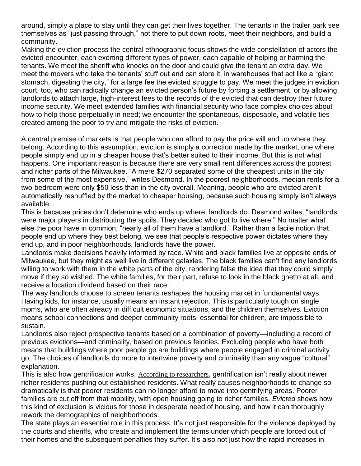around, simply a place to stay until they can get their lives together. The tenants in the trailer park see themselves as "just passing through," not there to put down roots, meet their neighbors, and build a community.

Making the eviction process the central ethnographic focus shows the wide constellation of actors the evicted encounter, each exerting different types of power, each capable of helping or harming the tenants. We meet the sheriff who knocks on the door and could give the tenant an extra day. We meet the movers who take the tenants' stuff out and can store it, in warehouses that act like a "giant stomach, digesting the city," for a large fee the evicted struggle to pay. We meet the judges in eviction court, too, who can radically change an evicted person's future by forcing a settlement, or by allowing landlords to attach large, high-interest fees to the records of the evicted that can destroy their future income security. We meet extended families with financial security who face complex choices about how to help those perpetually in need; we encounter the spontaneous, disposable, and volatile ties created among the poor to try and mitigate the risks of eviction.

A central premise of markets is that people who can afford to pay the price will end up where they belong. According to this assumption, eviction is simply a correction made by the market, one where people simply end up in a cheaper house that's better suited to their income. But this is not what happens. One important reason is because there are very small rent differences across the poorest and richer parts of the Milwaukee. "A mere \$270 separated some of the cheapest units in the city from some of the most expensive," writes Desmond. In the poorest neighborhoods, median rents for a two-bedroom were only \$50 less than in the city overall. Meaning, people who are evicted aren't automatically reshuffled by the market to cheaper housing, because such housing simply isn't always available.

This is because prices don't determine who ends up where, landlords do. Desmond writes, "landlords were major players in distributing the spoils. They decided who got to live where." No matter what else the poor have in common, "nearly all of them have a landlord." Rather than a facile notion that people end up where they best belong, we see that people's respective power dictates where they end up, and in poor neighborhoods, landlords have the power.

Landlords make decisions heavily informed by race. White and black families live at opposite ends of Milwaukee, but they might as well live in different galaxies. The black families can't find any landlords willing to work with them in the white parts of the city, rendering false the idea that they could simply move if they so wished. The white families, for their part, refuse to look in the black ghetto at all, and receive a location dividend based on their race.

The way landlords choose to screen tenants reshapes the housing market in fundamental ways. Having kids, for instance, usually means an instant rejection. This is particularly tough on single moms, who are often already in difficult economic situations, and the children themselves. Eviction means school connections and deeper community roots, essential for children, are impossible to sustain.

Landlords also reject prospective tenants based on a combination of poverty—including a record of previous evictions—and criminality, based on previous felonies. Excluding people who have both means that buildings where poor people go are buildings where people engaged in criminal activity go. The choices of landlords do more to intertwine poverty and criminality than any vague "cultural" explanation.

This is also how gentrification works. [According to researchers](http://citylimits.org/2015/11/20/the-complicated-research-on-how-gentrification-affects-the-poor/), gentrification isn't really about newer, richer residents pushing out established residents. What really causes neighborhoods to change so dramatically is that poorer residents can no longer afford to move into gentrifying areas. Poorer families are cut off from that mobility, with open housing going to richer families. *Evicted* shows how this kind of exclusion is vicious for those in desperate need of housing, and how it can thoroughly rework the demographics of neighborhoods.

The state plays an essential role in this process. It's not just responsible for the violence deployed by the courts and sheriffs, who create and implement the terms under which people are forced out of their homes and the subsequent penalties they suffer. It's also not just how the rapid increases in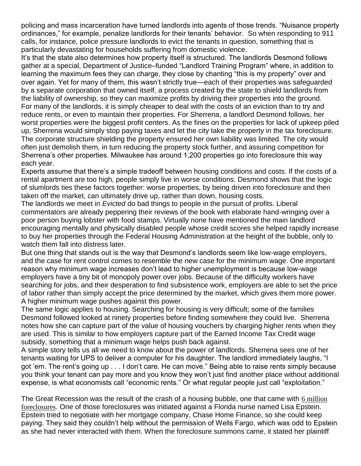policing and mass incarceration have turned landlords into agents of those trends. "Nuisance property ordinances," for example, penalize landlords for their tenants' behavior. So when responding to 911 calls, for instance, police pressure landlords to evict the tenants in question, something that is particularly devastating for households suffering from domestic violence.

It's that the state also determines how property itself is structured. The landlords Desmond follows gather at a special, Department of Justice–funded "Landlord Training Program" where, in addition to learning the maximum fees they can charge, they close by chanting "this is my property" over and over again. Yet for many of them, this wasn't strictly true—each of their properties was safeguarded by a separate corporation that owned itself, a process created by the state to shield landlords from the liability of ownership, so they can maximize profits by driving their properties into the ground. For many of the landlords, it is simply cheaper to deal with the costs of an eviction than to try and reduce rents, or even to maintain their properties. For Sherrena, a landlord Desmond follows, her worst properties were the biggest profit centers. As the fines on the properties for lack of upkeep piled up, Sherrena would simply stop paying taxes and let the city take the property in the tax foreclosure. The corporate structure shielding the property ensured her own liability was limited. The city would often just demolish them, in turn reducing the property stock further, and assuring competition for Sherrena's other properties. Milwaukee has around 1,200 properties go into foreclosure this way each year.

Experts assume that there's a simple tradeoff between housing conditions and costs. If the costs of a rental apartment are too high, people simply live in worse conditions. Desmond shows that the logic of slumlords ties these factors together: worse properties, by being driven into foreclosure and then taken off the market, can ultimately drive up, rather than down, housing costs.

The landlords we meet in *Evicted* do bad things to people in the pursuit of profits. Liberal commentators are already peppering their reviews of the book with elaborate hand-wringing over a poor person buying lobster with food stamps. Virtually none have mentioned the main landlord encouraging mentally and physically disabled people whose credit scores she helped rapidly increase to buy her properties through the Federal Housing Administration at the height of the bubble, only to watch them fall into distress later.

But one thing that stands out is the way that Desmond's landlords seem like low-wage employers, and the case for rent control comes to resemble the new case for the minimum wage. One important reason why minimum wage increases don't lead to higher unemployment is because low-wage employers have a tiny bit of monopoly power over jobs. Because of the difficulty workers have searching for jobs, and their desperation to find subsistence work, employers are able to set the price of labor rather than simply accept the price determined by the market, which gives them more power. A higher minimum wage pushes against this power.

The same logic applies to housing. Searching for housing is very difficult; some of the families Desmond followed looked at ninety properties before finding somewhere they could live. Sherrena notes how she can capture part of the value of housing vouchers by charging higher rents when they are used. This is similar to how employers capture part of the Earned Income Tax Credit wage subsidy, something that a minimum wage helps push back against.

A simple story tells us all we need to know about the power of landlords. Sherrena sees one of her tenants waiting for UPS to deliver a computer for his daughter. The landlord immediately laughs, "I got 'em. The rent's going up . . . I don't care. He can move." Being able to raise rents simply because you think your tenant can pay more and you know they won't just find another place without additional expense, is what economists call "economic rents." Or what regular people just call "exploitation."

The Great Recession was the result of the crash of a housing bubble, one that came with [6 million](https://www.corelogic.com/about-us/news/corelogic-reports-33,000-completed-foreclosures-in-november-2015.aspx)  [foreclosures](https://www.corelogic.com/about-us/news/corelogic-reports-33,000-completed-foreclosures-in-november-2015.aspx). One of those foreclosures was initiated against a Florida nurse named Lisa Epstein. Epstein tried to negotiate with her mortgage company, Chase Home Finance, so she could keep paying. They said they couldn't help without the permission of Wells Fargo, which was odd to Epstein as she had never interacted with them. When the foreclosure summons came, it stated her plaintiff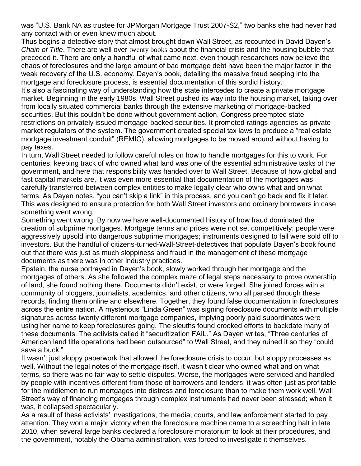was "U.S. Bank NA as trustee for JPMorgan Mortgage Trust 2007-S2," two banks she had never had any contact with or even knew much about.

Thus begins a detective story that almost brought down Wall Street, as recounted in David Dayen's *Chain of Title*. There are well over [twenty books](http://lfe.mit.edu/wp-content/uploads/2015/08/ReadingAboutFinCrisis2012.pdf) about the financial crisis and the housing bubble that preceded it. There are only a handful of what came next, even though researchers now believe the chaos of foreclosures and the large amount of bad mortgage debt have been the major factor in the weak recovery of the U.S. economy. Dayen's book, detailing the massive fraud seeping into the mortgage and foreclosure process, is essential documentation of this sordid history.

It's also a fascinating way of understanding how the state intercedes to create a private mortgage market. Beginning in the early 1980s, Wall Street pushed its way into the housing market, taking over from locally situated commercial banks through the extensive marketing of mortgage-backed securities. But this couldn't be done without government action. Congress preempted state restrictions on privately issued mortgage-backed securities. It promoted ratings agencies as private market regulators of the system. The government created special tax laws to produce a "real estate mortgage investment conduit" (REMIC), allowing mortgages to be moved around without having to pay taxes.

In turn, Wall Street needed to follow careful rules on how to handle mortgages for this to work. For centuries, keeping track of who owned what land was one of the essential administrative tasks of the government, and here that responsibility was handed over to Wall Street. Because of how global and fast capital markets are, it was even more essential that documentation of the mortgages was carefully transferred between complex entities to make legally clear who owns what and on what terms. As Dayen notes, "you can't skip a link" in this process, and you can't go back and fix it later. This was designed to ensure protection for both Wall Street investors and ordinary borrowers in case something went wrong.

Something went wrong. By now we have well-documented history of how fraud dominated the creation of subprime mortgages. Mortgage terms and prices were not set competitively; people were aggressively upsold into dangerous subprime mortgages; instruments designed to fail were sold off to investors. But the handful of citizens-turned-Wall-Street-detectives that populate Dayen's book found out that there was just as much sloppiness and fraud in the management of these mortgage documents as there was in other industry practices.

Epstein, the nurse portrayed in Dayen's book, slowly worked through her mortgage and the mortgages of others. As she followed the complex maze of legal steps necessary to prove ownership of land, she found nothing there. Documents didn't exist, or were forged. She joined forces with a community of bloggers, journalists, academics, and other citizens, who all parsed through these records, finding them online and elsewhere. Together, they found false documentation in foreclosures across the entire nation. A mysterious "Linda Green" was signing foreclosure documents with multiple signatures across twenty different mortgage companies, implying poorly paid subordinates were using her name to keep foreclosures going. The sleuths found crooked efforts to backdate many of these documents. The activists called it "securitization FAIL." As Dayen writes, "Three centuries of American land title operations had been outsourced" to Wall Street, and they ruined it so they "could save a buck."

It wasn't just sloppy paperwork that allowed the foreclosure crisis to occur, but sloppy processes as well. Without the legal notes of the mortgage itself, it wasn't clear who owned what and on what terms, so there was no fair way to settle disputes. Worse, the mortgages were serviced and handled by people with incentives different from those of borrowers and lenders; it was often just as profitable for the middlemen to run mortgages into distress and foreclosure than to make them work well. Wall Street's way of financing mortgages through complex instruments had never been stressed; when it was, it collapsed spectacularly.

As a result of these activists' investigations, the media, courts, and law enforcement started to pay attention. They won a major victory when the foreclosure machine came to a screeching halt in late 2010, when several large banks declared a foreclosure moratorium to look at their procedures, and the government, notably the Obama administration, was forced to investigate it themselves.